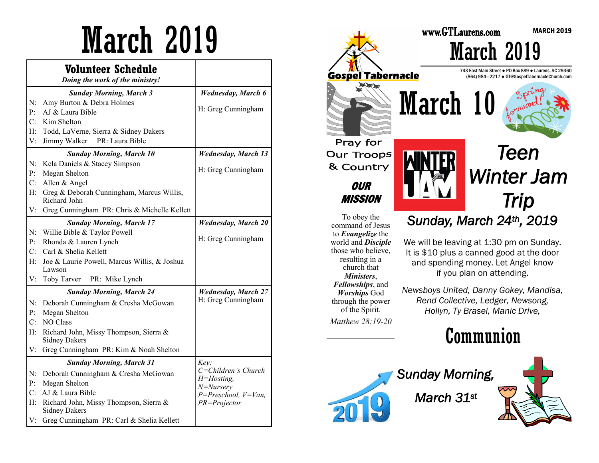|                                 | <b>Volunteer Schedule</b><br>Doing the work of the ministry!   |                                                                             |
|---------------------------------|----------------------------------------------------------------|-----------------------------------------------------------------------------|
|                                 | <b>Sunday Morning, March 3</b>                                 | <b>Wednesday</b> , March 6                                                  |
| N:                              | Amy Burton & Debra Holmes                                      |                                                                             |
| P:                              | AJ & Laura Bible                                               | H: Greg Cunningham                                                          |
| C:                              | Kim Shelton                                                    |                                                                             |
| H:                              | Todd, LaVerne, Sierra & Sidney Dakers                          |                                                                             |
| V:                              | Jimmy Walker<br>PR: Laura Bible                                |                                                                             |
|                                 | <b>Sunday Morning, March 10</b>                                | <b>Wednesday, March 13</b>                                                  |
| N:                              | Kela Daniels & Stacey Simpson                                  |                                                                             |
| P:                              | Megan Shelton                                                  | H: Greg Cunningham                                                          |
| C:                              | Allen & Angel                                                  |                                                                             |
| H:                              | Greg & Deborah Cunningham, Marcus Willis,<br>Richard John      |                                                                             |
| V:                              | Greg Cunningham PR: Chris & Michelle Kellett                   |                                                                             |
|                                 | <b>Sunday Morning, March 17</b>                                | <b>Wednesday, March 20</b>                                                  |
| N:                              | Willie Bible & Taylor Powell                                   |                                                                             |
| P:                              | Rhonda & Lauren Lynch                                          | H: Greg Cunningham                                                          |
| C:                              | Carl & Shelia Kellett                                          |                                                                             |
| H:                              | Joe & Laurie Powell, Marcus Willis, & Joshua<br>Lawson         |                                                                             |
| V:                              | Toby Tarver<br>PR: Mike Lynch                                  |                                                                             |
| <b>Sunday Morning, March 24</b> |                                                                | <b>Wednesday, March 27</b>                                                  |
| N:                              | Deborah Cunningham & Cresha McGowan                            | H: Greg Cunningham                                                          |
| P:                              | Megan Shelton                                                  |                                                                             |
| C:                              | <b>NO Class</b>                                                |                                                                             |
| Н:                              | Richard John, Missy Thompson, Sierra &<br><b>Sidney Dakers</b> |                                                                             |
| V:                              | Greg Cunningham PR: Kim & Noah Shelton                         |                                                                             |
| <b>Sunday Morning, March 31</b> |                                                                | Key:                                                                        |
| N:                              | Deborah Cunningham & Cresha McGowan                            | C=Children's Church<br>H=Hosting,<br>N=Nursery<br>$P = Preschool, V = Van,$ |
| P:                              | Megan Shelton                                                  |                                                                             |
| C:                              | AJ & Laura Bible                                               |                                                                             |
| H:                              | Richard John, Missy Thompson, Sierra &<br><b>Sidney Dakers</b> | PR=Projector                                                                |
| V:                              | Greg Cunningham PR: Carl & Shelia Kellett                      |                                                                             |